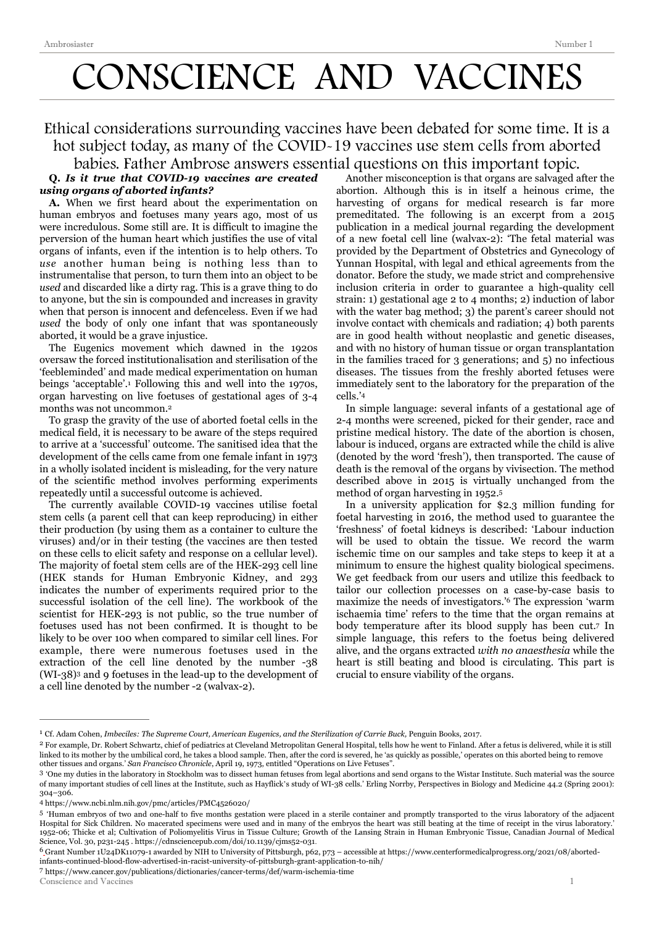# CONSCIENCE AND VACCINES

## Ethical considerations surrounding vaccines have been debated for some time. It is a hot subject today, as many of the COVID-19 vaccines use stem cells from aborted

### babies. Father Ambrose answers essential questions on this important topic.

#### **Q.** *Is it true that COVID-19 vaccines are created using organs of aborted infants?*

**A.** When we first heard about the experimentation on human embryos and foetuses many years ago, most of us were incredulous. Some still are. It is difficult to imagine the perversion of the human heart which justifies the use of vital organs of infants, even if the intention is to help others. To *use* another human being is nothing less than to instrumentalise that person, to turn them into an object to be *used* and discarded like a dirty rag. This is a grave thing to do to anyone, but the sin is compounded and increases in gravity when that person is innocent and defenceless. Even if we had *used* the body of only one infant that was spontaneously aborted, it would be a grave injustice.

<span id="page-0-7"></span>The Eugenics movement which dawned in the 1920s oversaw the forced institutionalisation and sterilisation of the 'feebleminded' and made medical experimentation on human beings 'acceptable'.<sup>[1](#page-0-0)</sup> Following this and well into the 1970s, organ harvesting on live foetuses of gestational ages of 3-4 months was not uncommon.[2](#page-0-1)

<span id="page-0-8"></span>To grasp the gravity of the use of aborted foetal cells in the medical field, it is necessary to be aware of the steps required to arrive at a 'successful' outcome. The sanitised idea that the development of the cells came from one female infant in 1973 in a wholly isolated incident is misleading, for the very nature of the scientific method involves performing experiments repeatedly until a successful outcome is achieved.

The currently available COVID-19 vaccines utilise foetal stem cells (a parent cell that can keep reproducing) in either their production (by using them as a container to culture the viruses) and/or in their testing (the vaccines are then tested on these cells to elicit safety and response on a cellular level). The majority of foetal stem cells are of the HEK-293 cell line (HEK stands for Human Embryonic Kidney, and 293 indicates the number of experiments required prior to the successful isolation of the cell line). The workbook of the scientist for HEK-293 is not public, so the true number of foetuses used has not been confirmed. It is thought to be likely to be over 100 when compared to similar cell lines. For example, there were numerous foetuses used in the extraction of the cell line denoted by the number -38 (WI-[3](#page-0-2)8)<sup>3</sup> and 9 foetuses in the lead-up to the development of a cell line denoted by the number -2 (walvax-2).

Another misconception is that organs are salvaged after the abortion. Although this is in itself a heinous crime, the harvesting of organs for medical research is far more premeditated. The following is an excerpt from a 2015 publication in a medical journal regarding the development of a new foetal cell line (walvax-2): 'The fetal material was provided by the Department of Obstetrics and Gynecology of Yunnan Hospital, with legal and ethical agreements from the donator. Before the study, we made strict and comprehensive inclusion criteria in order to guarantee a high-quality cell strain: 1) gestational age 2 to 4 months; 2) induction of labor with the water bag method; 3) the parent's career should not involve contact with chemicals and radiation; 4) both parents are in good health without neoplastic and genetic diseases, and with no history of human tissue or organ transplantation in the families traced for 3 generations; and 5) no infectious diseases. The tissues from the freshly aborted fetuses were immediately sent to the laboratory for the preparation of the cells.'[4](#page-0-3)

<span id="page-0-10"></span>In simple language: several infants of a gestational age of 2-4 months were screened, picked for their gender, race and pristine medical history. The date of the abortion is chosen, labour is induced, organs are extracted while the child is alive (denoted by the word 'fresh'), then transported. The cause of death is the removal of the organs by vivisection. The method described above in 2015 is virtually unchanged from the method of organ harvesting in 1952.[5](#page-0-4)

<span id="page-0-13"></span><span id="page-0-12"></span><span id="page-0-11"></span>In a university application for \$2.3 million funding for foetal harvesting in 2016, the method used to guarantee the 'freshness' of foetal kidneys is described: 'Labour induction will be used to obtain the tissue. We record the warm ischemic time on our samples and take steps to keep it at a minimum to ensure the highest quality biological specimens. We get feedback from our users and utilize this feedback to tailor our collection processes on a case-by-case basis to maximize the needs of investigators.<sup>'[6](#page-0-5)</sup> The expression 'warm ischaemia time' refers to the time that the organ remains at body temperature after its blood supply has been cut[.](#page-0-6)<sup>[7](#page-0-6)</sup> In simple language, this refers to the foetus being delivered alive, and the organs extracted *with no anaesthesia* while the heart is still beating and blood is circulating. This part is crucial to ensure viability of the organs.

<span id="page-0-6"></span>https://www.cancer.gov/publications/dictionaries/cancer-terms/def/warm-ischemia-time [7](#page-0-13)

<span id="page-0-9"></span><span id="page-0-0"></span>Cf. Adam Cohen, *Imbeciles: The Supreme Court, American Eugenics, and the Sterilization of Carrie Buck,* Penguin Books, 2017. [1](#page-0-7)

<span id="page-0-1"></span><sup>&</sup>lt;sup>[2](#page-0-8)</sup> For example, Dr. Robert Schwartz, chief of pediatrics at Cleveland Metropolitan General Hospital, tells how he went to Finland. After a fetus is delivered, while it is still linked to its mother by the umbilical cord, he takes a blood sample. Then, after the cord is severed, he 'as quickly as possible,' operates on this aborted being to remove other tissues and organs.' *San Francisco Chronicle*, April 19, 1973, entitled "Operations on Live Fetuses".

<span id="page-0-2"></span><sup>&#</sup>x27;One my duties in the laboratory in Stockholm was to dissect human fetuses from legal abortions and send organs to the Wistar Institute. Such material was the source [3](#page-0-9) of many important studies of cell lines at the Institute, such as Hayflick's study of WI-38 cells.' Erling Norrby, Perspectives in Biology and Medicine 44.2 (Spring 2001): 304–306.

<span id="page-0-3"></span>https://www.ncbi.nlm.nih.gov/pmc/articles/PMC4526020/ [4](#page-0-10)

<span id="page-0-4"></span>[<sup>5</sup>](#page-0-11) 'Human embryos of two and one-half to five months gestation were placed in a sterile container and promptly transported to the virus laboratory of the adjacent Hospital for Sick Children. No macerated specimens were used and in many of the embryos the heart was still beating at the time of receipt in the virus laboratory.' 1952-06; Thicke et al; Cultivation of Poliomyelitis Virus in Tissue Culture; Growth of the Lansing Strain in Human Embryonic Tissue, Canadian Journal of Medical Science, Vol. 30, p231-245 . <https://cdnsciencepub.com/doi/10.1139/cjms52-031>.

<span id="page-0-5"></span>Grant Number 1U24DK11079-1 awarded by NIH to University of Pittsburgh, p62, p73 – accessible at [https://www.centerformedicalprogress.org/2021/08/aborted-](https://www.centerformedicalprogress.org/2021/08/aborted-infants-continued-blood-flow-advertised-in-racist-university-of-pittsburgh-grant-application-to-nih/) [6](#page-0-12) [infants-continued-blood-flow-advertised-in-racist-university-of-pittsburgh-grant-application-to-nih/](https://www.centerformedicalprogress.org/2021/08/aborted-infants-continued-blood-flow-advertised-in-racist-university-of-pittsburgh-grant-application-to-nih/)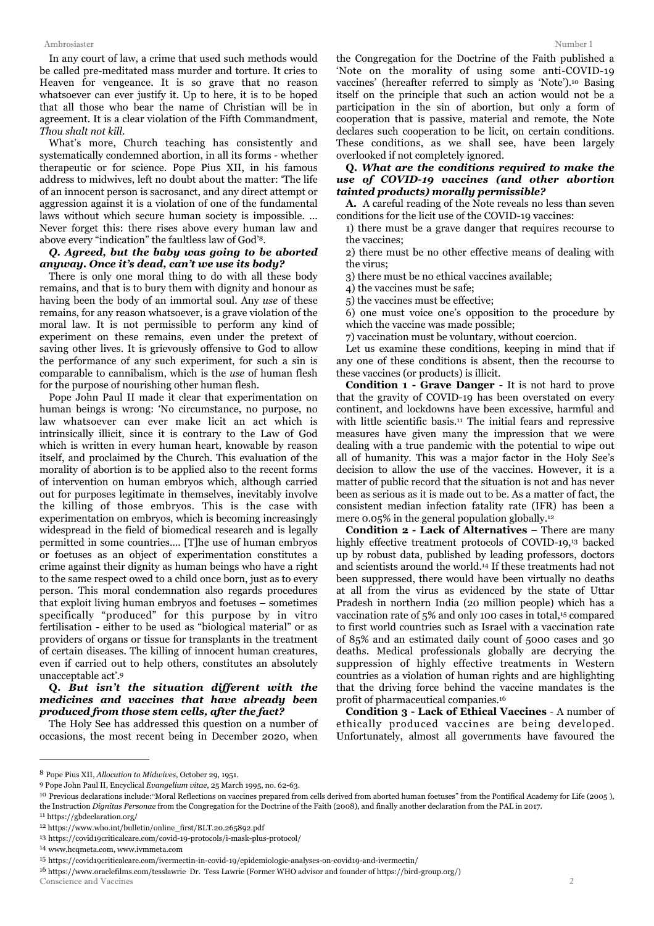In any court of law, a crime that used such methods would be called pre-meditated mass murder and torture. It cries to Heaven for vengeance. It is so grave that no reason whatsoever can ever justify it. Up to here, it is to be hoped that all those who bear the name of Christian will be in agreement. It is a clear violation of the Fifth Commandment, *Thou shalt not kill*.

What's more, Church teaching has consistently and systematically condemned abortion, in all its forms - whether therapeutic or for science. Pope Pius XII, in his famous address to midwives, left no doubt about the matter: 'The life of an innocent person is sacrosanct, and any direct attempt or aggression against it is a violation of one of the fundamental laws without which secure human society is impossible. ... Never forget this: there rises above every human law and above every "indication" the faultless law of God'<sup>[8](#page-1-0)</sup>.

#### *Q. Agreed, but the baby was going to be aborted anyway. Once it's dead, can't we use its body?*

There is only one moral thing to do with all these body remains, and that is to bury them with dignity and honour as having been the body of an immortal soul. Any *use* of these remains, for any reason whatsoever, is a grave violation of the moral law. It is not permissible to perform any kind of experiment on these remains, even under the pretext of saving other lives. It is grievously offensive to God to allow the performance of any such experiment, for such a sin is comparable to cannibalism, which is the *use* of human flesh for the purpose of nourishing other human flesh.

Pope John Paul II made it clear that experimentation on human beings is wrong: 'No circumstance, no purpose, no law whatsoever can ever make licit an act which is intrinsically illicit, since it is contrary to the Law of God which is written in every human heart, knowable by reason itself, and proclaimed by the Church. This evaluation of the morality of abortion is to be applied also to the recent forms of intervention on human embryos which, although carried out for purposes legitimate in themselves, inevitably involve the killing of those embryos. This is the case with experimentation on embryos, which is becoming increasingly widespread in the field of biomedical research and is legally permitted in some countries…. [T]he use of human embryos or foetuses as an object of experimentation constitutes a crime against their dignity as human beings who have a right to the same respect owed to a child once born, just as to every person. This moral condemnation also regards procedures that exploit living human embryos and foetuses – sometimes specifically "produced" for this purpose by in vitro fertilisation - either to be used as "biological material" or as providers of organs or tissue for transplants in the treatment of certain diseases. The killing of innocent human creatures, even if carried out to help others, constitutes an absolutely unacceptable act'[.9](#page-1-1)

#### <span id="page-1-10"></span>**Q.** *But isn't the situation different with the medicines and vaccines that have already been produced from those stem cells, after the fact?*

The Holy See has addressed this question on a number of occasions, the most recent being in December 2020, when

<span id="page-1-11"></span>the Congregation for the Doctrine of the Faith published a 'Note on the morality of using some anti-COVID-19 vaccines' (hereafter referred to simply as 'Note')[.](#page-1-2)<sup>[10](#page-1-2)</sup> Basing itself on the principle that such an action would not be a participation in the sin of abortion, but only a form of cooperation that is passive, material and remote, the Note declares such cooperation to be licit, on certain conditions. These conditions, as we shall see, have been largely overlooked if not completely ignored.

#### **Q.** *What are the conditions required to make the use of COVID-19 vaccines (and other abortion tainted products) morally permissible?*

<span id="page-1-9"></span>**A.** A careful reading of the Note reveals no less than seven conditions for the licit use of the COVID-19 vaccines:

1) there must be a grave danger that requires recourse to the vaccines;

2) there must be no other effective means of dealing with the virus;

3) there must be no ethical vaccines available;

4) the vaccines must be safe;

5) the vaccines must be effective;

6) one must voice one's opposition to the procedure by which the vaccine was made possible;

7) vaccination must be voluntary, without coercion.

Let us examine these conditions, keeping in mind that if any one of these conditions is absent, then the recourse to these vaccines (or products) is illicit.

<span id="page-1-12"></span>**Condition 1 - Grave Danger** - It is not hard to prove that the gravity of COVID-19 has been overstated on every continent, and lockdowns have been excessive, harmful and withlittle scientific basis.<sup>[11](#page-1-3)</sup> The initial fears and repressive measures have given many the impression that we were dealing with a true pandemic with the potential to wipe out all of humanity. This was a major factor in the Holy See's decision to allow the use of the vaccines. However, it is a matter of public record that the situation is not and has never been as serious as it is made out to be. As a matter of fact, the consistent median infection fatality rate (IFR) has been a mere 0.05% in the general population globally[.12](#page-1-4)

<span id="page-1-16"></span><span id="page-1-15"></span><span id="page-1-14"></span><span id="page-1-13"></span>**Condition 2 - Lack of Alternatives** – There are many highlyeffective treatment protocols of COVID-19,<sup>[13](#page-1-5)</sup> backed up by robust data, published by leading professors, doctors and scientists around the world.<sup>[14](#page-1-6)</sup> If these treatments had not been suppressed, there would have been virtually no deaths at all from the virus as evidenced by the state of Uttar Pradesh in northern India (20 million people) which has a vaccination rate of 5% and only 100 cases in total,<sup>[15](#page-1-7)</sup> compared to first world countries such as Israel with a vaccination rate of 85% and an estimated daily count of 5000 cases and 30 deaths. Medical professionals globally are decrying the suppression of highly effective treatments in Western countries as a violation of human rights and are highlighting that the driving force behind the vaccine mandates is the profit of pharmaceutical companies[.16](#page-1-8)

<span id="page-1-17"></span>**Condition 3 - Lack of Ethical Vaccines** - A number of ethically produced vaccines are being developed. Unfortunately, almost all governments have favoured the

<span id="page-1-6"></span>[14](#page-1-15) [www.hcqmeta.com](http://www.hcqmeta.com), [www.ivmmeta.com](http://www.ivmmeta.com)

<span id="page-1-8"></span><sup>16</sup> <https://www.oraclefilms.com/tesslawrie> Dr. Tess Lawrie (Former WHO advisor and founder of https://bird-group.org/) Conscience and Vaccines 2

<span id="page-1-0"></span>Pope Pius XII, *Allocution to Midwives*, October 29, 1951. [8](#page-1-9)

<span id="page-1-1"></span>Pope John Paul II, Encyclical *Evangelium vitae*, 25 March 1995, no. 62-63. [9](#page-1-10)

<span id="page-1-2"></span><sup>&</sup>lt;sup>[10](#page-1-11)</sup> Previous declarations include: "Moral Reflections on vaccines prepared from cells derived from aborted human foetuses" from the Pontifical Academy for Life (2005), the Instruction *Dignitas Personae* from the Congregation for the Doctrine of the Faith (2008), and finally another declaration from the PAL in 2017.

<span id="page-1-3"></span><sup>&</sup>lt;sup>11</sup> <https://gbdeclaration.org/>

<span id="page-1-4"></span><sup>&</sup>lt;sup>12</sup> [https://www.who.int/bulletin/online\\_first/BLT.20.265892.pdf](https://www.who.int/bulletin/online_first/BLT.20.265892.pdf)

<span id="page-1-5"></span><sup>&</sup>lt;sup>13</sup> <https://covid19criticalcare.com/covid-19-protocols/i-mask-plus-protocol/>

<span id="page-1-7"></span><sup>&</sup>lt;sup>15</sup> <https://covid19criticalcare.com/ivermectin-in-covid-19/epidemiologic-analyses-on-covid19-and-ivermectin/>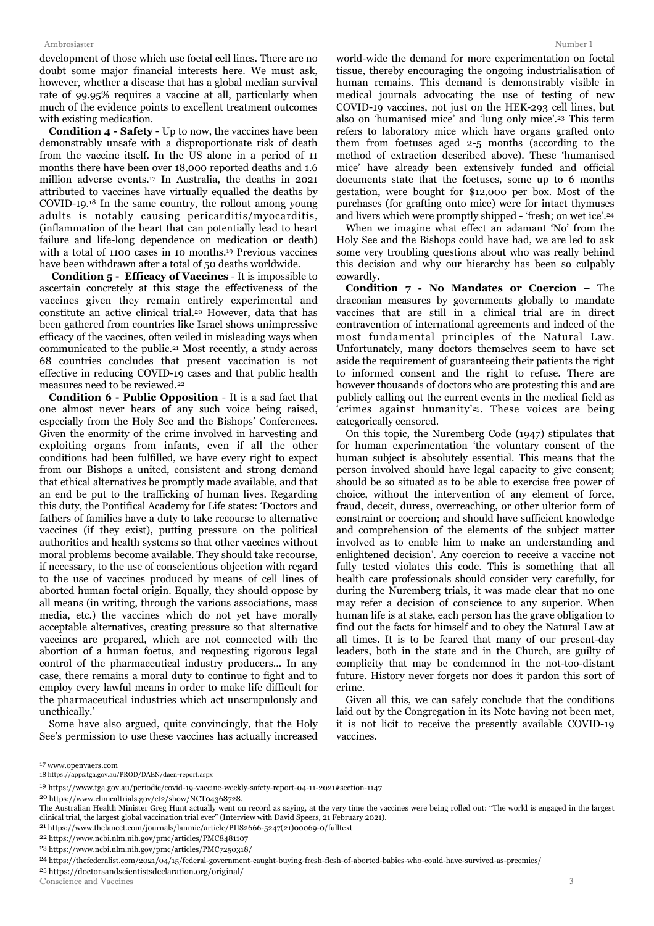#### Ambrosiaster Number 1

development of those which use foetal cell lines. There are no doubt some major financial interests here. We must ask, however, whether a disease that has a global median survival rate of 99.95% requires a vaccine at all, particularly when much of the evidence points to excellent treatment outcomes with existing medication.

<span id="page-2-10"></span><span id="page-2-9"></span>**Condition 4 - Safety** - Up to now, the vaccines have been demonstrably unsafe with a disproportionate risk of death from the vaccine itself. In the US alone in a period of 11 months there have been over 18,000 reported deaths and 1.6 millionadverse events.<sup>[17](#page-2-0)</sup> In Australia, the deaths in 2021 attributed to vaccines have virtually equalled the deaths by COVID-19. $^{18}$  $^{18}$  $^{18}$  In the same country, the rollout among young adults is notably causing pericarditis/myocarditis, (inflammation of the heart that can potentially lead to heart failure and life-long dependence on medication or death) with a total of 1100 cases in 10 months.<sup>[19](#page-2-2)</sup> Previous vaccines have been withdrawn after a total of 50 deaths worldwide.

 **Condition 5 - Efficacy of Vaccines** - It is impossible to ascertain concretely at this stage the effectiveness of the vaccines given they remain entirely experimental and constitute an active clinical trial.<sup>[20](#page-2-3)</sup> However, data that has been gathered from countries like Israel shows unimpressive efficacy of the vaccines, often veiled in misleading ways when communicated to the public<sup>[21](#page-2-4)</sup> Most recently, a study across 68 countries concludes that present vaccination is not effective in reducing COVID-19 cases and that public health measures need to be reviewed[.22](#page-2-5)

<span id="page-2-14"></span><span id="page-2-13"></span>**Condition 6 - Public Opposition** - It is a sad fact that one almost never hears of any such voice being raised, especially from the Holy See and the Bishops' Conferences. Given the enormity of the crime involved in harvesting and exploiting organs from infants, even if all the other conditions had been fulfilled, we have every right to expect from our Bishops a united, consistent and strong demand that ethical alternatives be promptly made available, and that an end be put to the trafficking of human lives. Regarding this duty, the Pontifical Academy for Life states: 'Doctors and fathers of families have a duty to take recourse to alternative vaccines (if they exist), putting pressure on the political authorities and health systems so that other vaccines without moral problems become available. They should take recourse, if necessary, to the use of conscientious objection with regard to the use of vaccines produced by means of cell lines of aborted human foetal origin. Equally, they should oppose by all means (in writing, through the various associations, mass media, etc.) the vaccines which do not yet have morally acceptable alternatives, creating pressure so that alternative vaccines are prepared, which are not connected with the abortion of a human foetus, and requesting rigorous legal control of the pharmaceutical industry producers… In any case, there remains a moral duty to continue to fight and to employ every lawful means in order to make life difficult for the pharmaceutical industries which act unscrupulously and unethically.'

Some have also argued, quite convincingly, that the Holy See's permission to use these vaccines has actually increased <span id="page-2-15"></span>world-wide the demand for more experimentation on foetal tissue, thereby encouraging the ongoing industrialisation of human remains. This demand is demonstrably visible in medical journals advocating the use of testing of new COVID-19 vaccines, not just on the HEK-293 cell lines, but also on 'humanised mice' and 'lung only mice'.<sup>[23](#page-2-6)</sup> This term refers to laboratory mice which have organs grafted onto them from foetuses aged 2-5 months (according to the method of extraction described above). These 'humanised mice' have already been extensively funded and official documents state that the foetuses, some up to 6 months gestation, were bought for \$12,000 per box. Most of the purchases (for grafting onto mice) were for intact thymuses and livers which were promptly shipped - 'fresh; on wet ice'.[24](#page-2-7)

<span id="page-2-16"></span><span id="page-2-11"></span>When we imagine what effect an adamant 'No' from the Holy See and the Bishops could have had, we are led to ask some very troubling questions about who was really behind this decision and why our hierarchy has been so culpably cowardly.

<span id="page-2-12"></span>**Condition 7 - No Mandates or Coercion** – The draconian measures by governments globally to mandate vaccines that are still in a clinical trial are in direct contravention of international agreements and indeed of the most fundamental principles of the Natural Law. Unfortunately, many doctors themselves seem to have set aside the requirement of guaranteeing their patients the right to informed consent and the right to refuse. There are however thousands of doctors who are protesting this and are publicly calling out the current events in the medical field as 'crimes against humanity'<sup>[25](#page-2-8)</sup>. These voices are being categorically censored.

<span id="page-2-17"></span>On this topic, the Nuremberg Code (1947) stipulates that for human experimentation 'the voluntary consent of the human subject is absolutely essential. This means that the person involved should have legal capacity to give consent; should be so situated as to be able to exercise free power of choice, without the intervention of any element of force, fraud, deceit, duress, overreaching, or other ulterior form of constraint or coercion; and should have sufficient knowledge and comprehension of the elements of the subject matter involved as to enable him to make an understanding and enlightened decision'. Any coercion to receive a vaccine not fully tested violates this code. This is something that all health care professionals should consider very carefully, for during the Nuremberg trials, it was made clear that no one may refer a decision of conscience to any superior. When human life is at stake, each person has the grave obligation to find out the facts for himself and to obey the Natural Law at all times. It is to be feared that many of our present-day leaders, both in the state and in the Church, are guilty of complicity that may be condemned in the not-too-distant future. History never forgets nor does it pardon this sort of crime.

Given all this, we can safely conclude that the conditions laid out by the Congregation in its Note having not been met, it is not licit to receive the presently available COVID-19 vaccines.

<span id="page-2-1"></span><span id="page-2-0"></span>[<sup>17</sup>](#page-2-9) [www.openvaers.com](http://www.openvaers.com) [18](#page-2-10) https://apps.tga.gov.au/PROD/DAEN/daen-report.aspx

<span id="page-2-2"></span><https://www.tga.gov.au/periodic/covid-19-vaccine-weekly-safety-report-04-11-2021#section-1147> [19](#page-2-11)

<span id="page-2-3"></span><sup>&</sup>lt;sup>20</sup> [https://www.clinicaltrials.gov/ct2/show/NCT04368728.](https://www.clinicaltrials.gov/ct2/show/NCT04368728)

The Australian Health Minister Greg Hunt actually went on record as saying, at the very time the vaccines were being rolled out: "The world is engaged in the largest clinical trial, the largest global vaccination trial ever" (Interview with David Speers, 21 February 2021).

<span id="page-2-4"></span> $^{21}$  $^{21}$  $^{21}$ [https://www.thelancet.com/journals/lanmic/article/PIIS2666-5247\(21\)00069-0/fulltext](https://www.thelancet.com/journals/lanmic/article/PIIS2666-5247(21)00069-0/fulltext)

<span id="page-2-5"></span><https://www.ncbi.nlm.nih.gov/pmc/articles/PMC8481107> [22](#page-2-14)

<span id="page-2-6"></span><https://www.ncbi.nlm.nih.gov/pmc/articles/PMC7250318/> [23](#page-2-15)

<span id="page-2-7"></span>https://thefederalist.com/2021/04/15/federal-government-caught-buying-fresh-flesh-of-aborted-babies-who-could-have-survived-as-preemies/ [24](#page-2-16)

<span id="page-2-8"></span><sup>&</sup>lt;sup>25</sup><https://doctorsandscientistsdeclaration.org/original/>

Conscience and Vaccines 3